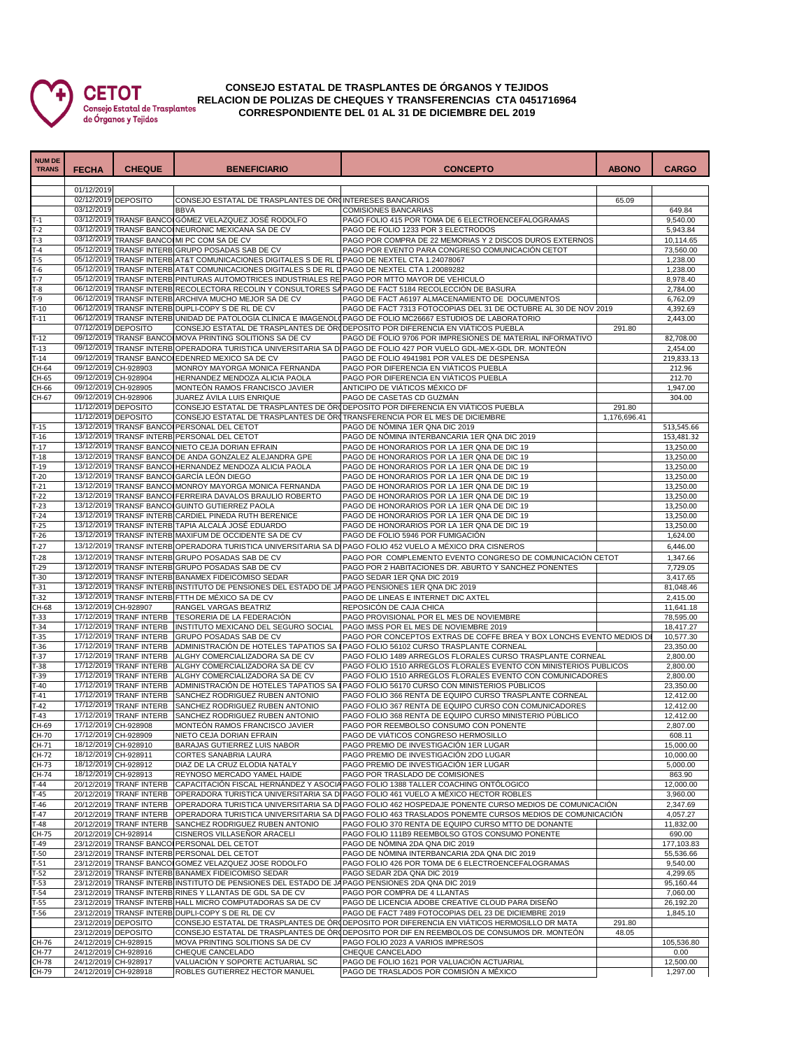

## **CONSEJO ESTATAL DE TRASPLANTES DE ÓRGANOS Y TEJIDOS RELACION DE POLIZAS DE CHEQUES Y TRANSFERENCIAS CTA 0451716964 CORRESPONDIENTE DEL 01 AL 31 DE DICIEMBRE DEL 2019**

| <b>NUM DE</b><br><b>TRANS</b> | <b>FECHA</b> | <b>CHEQUE</b>                                      | <b>BENEFICIARIO</b>                                                                                    | <b>CONCEPTO</b>                                                                                                                                                                            | <b>ABONO</b>    | <b>CARGO</b>           |
|-------------------------------|--------------|----------------------------------------------------|--------------------------------------------------------------------------------------------------------|--------------------------------------------------------------------------------------------------------------------------------------------------------------------------------------------|-----------------|------------------------|
|                               |              |                                                    |                                                                                                        |                                                                                                                                                                                            |                 |                        |
|                               | 01/12/2019   |                                                    |                                                                                                        |                                                                                                                                                                                            |                 |                        |
|                               | 03/12/2019   | 02/12/2019 DEPOSITO                                | CONSEJO ESTATAL DE TRASPLANTES DE ÓRUNTERESES BANCARIOS<br><b>BBVA</b>                                 | <b>COMISIONES BANCARIAS</b>                                                                                                                                                                | 65.09           | 649.84                 |
| $T-1$                         |              |                                                    | 03/12/2019 TRANSF BANCOI GÓMEZ VELAZQUEZ JOSÉ RODOLFO                                                  | PAGO FOLIO 415 POR TOMA DE 6 ELECTROENCEFALOGRAMAS                                                                                                                                         |                 | 9,540.00               |
| $T-2$                         |              |                                                    | 03/12/2019 TRANSF BANCOINEURONIC MEXICANA SA DE CV                                                     | PAGO DE FOLIO 1233 POR 3 ELECTRODOS                                                                                                                                                        |                 | 5,943.84               |
| $T-3$                         |              |                                                    | 03/12/2019 TRANSF BANCOIMI PC COM SA DE CV                                                             | PAGO POR COMPRA DE 22 MEMORIAS Y 2 DISCOS DUROS EXTERNOS                                                                                                                                   |                 | 10,114.65              |
| $T-4$                         |              |                                                    | 05/12/2019 TRANSF INTERB GRUPO POSADAS SAB DE CV                                                       | PAGO POR EVENTO PARA CONGRESO COMUNICACIÓN CETOT                                                                                                                                           |                 | 73,560.00              |
| T-5                           |              |                                                    | 05/12/2019 TRANSF INTERB AT&T COMUNICACIONES DIGITALES S DE RL D PAGO DE NEXTEL CTA 1.24078067         |                                                                                                                                                                                            |                 | 1,238.00               |
| $T-6$                         |              |                                                    | 05/12/2019 TRANSF INTERB AT&T COMUNICACIONES DIGITALES S DE RL D PAGO DE NEXTEL CTA 1.20089282         |                                                                                                                                                                                            |                 | 1,238.00               |
| T-7<br>$T-8$                  |              |                                                    | 05/12/2019 TRANSF INTERB PINTURAS AUTOMOTRICES INDUSTRIALES RE PAGO POR MTTO MAYOR DE VEHICULO         | 06/12/2019 TRANSF INTERB RECOLECTORA RECOLIN Y CONSULTORES SAPAGO DE FACT 5184 RECOLECCIÓN DE BASURA                                                                                       |                 | 8,978.40<br>2,784.00   |
| T-9                           |              |                                                    | 06/12/2019 TRANSF INTERB ARCHIVA MUCHO MEJOR SA DE CV                                                  | PAGO DE FACT A6197 ALMACENAMIENTO DE DOCUMENTOS                                                                                                                                            |                 | 6,762.09               |
| $T-10$                        |              |                                                    | 06/12/2019 TRANSF INTERB DUPLI-COPY S DE RL DE CV                                                      | PAGO DE FACT 7313 FOTOCOPIAS DEL 31 DE OCTUBRE AL 30 DE NOV 2019                                                                                                                           |                 | 4,392.69               |
| $T-11$                        |              |                                                    |                                                                                                        | 06/12/2019 TRANSF INTERB UNIDAD DE PATOLOGÍA CLÍNICA E IMAGENOLO PAGO DE FOLIO MC26667 ESTUDIOS DE LABORATORIO                                                                             |                 | 2,443.00               |
|                               |              | 07/12/2019 DEPOSITO                                |                                                                                                        | CONSEJO ESTATAL DE TRASPLANTES DE ÓRODEPOSITO POR DIFERENCIA EN VIÁTICOS PUEBLA                                                                                                            | 291.80          |                        |
| $T-12$                        |              |                                                    | 09/12/2019 TRANSF BANCO MOVA PRINTING SOLITIONS SA DE CV                                               | PAGO DE FOLIO 9706 POR IMPRESIONES DE MATERIAL INFORMATIVO                                                                                                                                 |                 | 82,708.00              |
| $T-13$                        |              |                                                    |                                                                                                        | 09/12/2019 TRANSF INTERB OPERADORA TURISTICA UNIVERSITARIA SA DI PAGO DE FOLIO 427 POR VUELO GDL-MEX-GDL DR. MONTEÓN                                                                       |                 | 2,454.00               |
| $T-14$<br>CH-64               |              | 09/12/2019 CH-928903                               | 09/12/2019 TRANSF BANCOLEDENRED MEXICO SA DE CV<br>MONROY MAYORGA MONICA FERNANDA                      | PAGO DE FOLIO 4941981 POR VALES DE DESPENSA<br>PAGO POR DIFERENCIA EN VIÁTICOS PUEBLA                                                                                                      |                 | 219,833.13<br>212.96   |
| CH-65                         |              | 09/12/2019 CH-928904                               | HERNANDEZ MENDOZA ALICIA PAOLA                                                                         | PAGO POR DIFERENCIA EN VIÁTICOS PUEBLA                                                                                                                                                     |                 | 212.70                 |
| CH-66                         |              | 09/12/2019 CH-928905                               | MONTEÓN RAMOS FRANCISCO JAVIER                                                                         | ANTICIPO DE VIÁTICOS MÉXICO DF                                                                                                                                                             |                 | 1,947.00               |
| CH-67                         |              | 09/12/2019 CH-928906                               | JUAREZ ÁVILA LUIS ENRIQUE                                                                              | PAGO DE CASETAS CD GUZMÁN                                                                                                                                                                  |                 | 304.00                 |
|                               |              | 11/12/2019 DEPOSITO                                |                                                                                                        | CONSEJO ESTATAL DE TRASPLANTES DE ÓR(DEPOSITO POR DIFERENCIA EN VIÁTICOS PUEBLA                                                                                                            | 291.80          |                        |
|                               |              | 11/12/2019 DEPOSITO                                |                                                                                                        | CONSEJO ESTATAL DE TRASPLANTES DE ÓRITRANSFERENCIA POR EL MES DE DICIEMBRE                                                                                                                 | 1,176,696.41    |                        |
| $T-15$                        |              |                                                    | 13/12/2019 TRANSF BANCOI PERSONAL DEL CETOT                                                            | PAGO DE NÓMINA 1ER QNA DIC 2019                                                                                                                                                            |                 | 513,545.66             |
| $T-16$                        |              |                                                    | 13/12/2019 TRANSF INTERB PERSONAL DEL CETOT<br>13/12/2019 TRANSF BANCOI NIETO CEJA DORIAN EFRAIN       | PAGO DE NÓMINA INTERBANCARIA 1ER QNA DIC 2019<br>PAGO DE HONORARIOS POR LA 1ER QNA DE DIC 19                                                                                               |                 | 153,481.32             |
| $T-17$<br>$T-18$              |              |                                                    | 13/12/2019 TRANSF BANCOI DE ANDA GONZALEZ ALEJANDRA GPE                                                | PAGO DE HONORARIOS POR LA 1ER QNA DE DIC 19                                                                                                                                                |                 | 13,250.00<br>13,250.00 |
| $T-19$                        |              |                                                    | 13/12/2019 TRANSF BANCOI HERNANDEZ MENDOZA ALICIA PAOLA                                                | PAGO DE HONORARIOS POR LA 1ER QNA DE DIC 19                                                                                                                                                |                 | 13,250.00              |
| $T-20$                        |              |                                                    | 13/12/2019 TRANSF BANCOL GARCÍA LEÓN DIEGO                                                             | PAGO DE HONORARIOS POR LA 1ER QNA DE DIC 19                                                                                                                                                |                 | 13,250.00              |
| $T-21$                        |              |                                                    | 13/12/2019 TRANSF BANCOI MONROY MAYORGA MONICA FERNANDA                                                | PAGO DE HONORARIOS POR LA 1ER QNA DE DIC 19                                                                                                                                                |                 | 13,250.00              |
| $T-22$                        |              |                                                    | 13/12/2019 TRANSF BANCO FERREIRA DAVALOS BRAULIO ROBERTO                                               | PAGO DE HONORARIOS POR LA 1ER QNA DE DIC 19                                                                                                                                                |                 | 13,250.00              |
| $T-23$                        |              |                                                    | 13/12/2019 TRANSF BANCOI GUINTO GUTIERREZ PAOLA                                                        | PAGO DE HONORARIOS POR LA 1ER QNA DE DIC 19                                                                                                                                                |                 | 13,250.00              |
| $T-24$                        |              |                                                    | 13/12/2019 TRANSF INTERB CARDIEL PINEDA RUTH BERENICE                                                  | PAGO DE HONORARIOS POR LA 1ER QNA DE DIC 19                                                                                                                                                |                 | 13,250.00              |
| T-25                          |              |                                                    | 13/12/2019 TRANSF INTERB TAPIA ALCALÁ JOSÉ EDUARDO                                                     | PAGO DE HONORARIOS POR LA 1ER QNA DE DIC 19                                                                                                                                                |                 | 13,250.00              |
| $T-26$                        |              |                                                    | 13/12/2019 TRANSF INTERB MAXIFUM DE OCCIDENTE SA DE CV                                                 | PAGO DE FOLIO 5946 POR FUMIGACIÓN                                                                                                                                                          |                 | 1,624.00               |
| $T-27$                        |              |                                                    |                                                                                                        | 13/12/2019 TRANSF INTERB OPERADORA TURISTICA UNIVERSITARIA SA DI PAGO FOLIO 452 VUELO A MÉXICO DRA CISNEROS                                                                                |                 | 6,446.00               |
| $T-28$                        |              |                                                    | 13/12/2019 TRANSF INTERB GRUPO POSADAS SAB DE CV                                                       | PAGO POR COMPLEMENTO EVENTO CONGRESO DE COMUNICACIÓN CETOT                                                                                                                                 |                 | 1,347.66               |
| T-29<br>$T-30$                |              |                                                    | 13/12/2019 TRANSF INTERB GRUPO POSADAS SAB DE CV<br>13/12/2019 TRANSF INTERB BANAMEX FIDEICOMISO SEDAR | PAGO POR 2 HABITACIONES DR. ABURTO Y SANCHEZ PONENTES<br>PAGO SEDAR 1ER QNA DIC 2019                                                                                                       |                 | 7,729.05<br>3,417.65   |
| $T-31$                        |              |                                                    | 13/12/2019 TRANSF INTERB INSTITUTO DE PENSIONES DEL ESTADO DE JA PAGO PENSIONES 1ER QNA DIC 2019       |                                                                                                                                                                                            |                 | 81,048.46              |
| T-32                          |              |                                                    | 13/12/2019 TRANSF INTERB FTTH DE MÉXICO SA DE CV                                                       | PAGO DE LINEAS E INTERNET DIC AXTEL                                                                                                                                                        |                 | 2,415.00               |
| CH-68                         |              | 13/12/2019 CH-928907                               | RANGEL VARGAS BEATRIZ                                                                                  | REPOSICÓN DE CAJA CHICA                                                                                                                                                                    |                 | 11,641.18              |
| $T-33$                        |              | 17/12/2019 TRANF INTERB                            | TESORERIA DE LA FEDERACIÓN                                                                             | PAGO PROVISIONAL POR EL MES DE NOVIEMBRE                                                                                                                                                   |                 | 78,595.00              |
| $T-34$                        |              | 17/12/2019 TRANF INTERB                            | INSTITUTO MEXICANO DEL SEGURO SOCIAL                                                                   | PAGO IMSS POR EL MES DE NOVIEMBRE 2019                                                                                                                                                     |                 | 18,417.27              |
| T-35                          |              |                                                    | 17/12/2019 TRANF INTERB GRUPO POSADAS SAB DE CV                                                        | PAGO POR CONCEPTOS EXTRAS DE COFFE BREA Y BOX LONCHS EVENTO MEDIOS DE                                                                                                                      |                 | 10,577.30              |
| $T-36$<br>$T-37$              |              | 17/12/2019 TRANF INTERB<br>17/12/2019 TRANF INTERB | ADMINISTRACIÓN DE HOTELES TAPATIOS SA<br>ALGHY COMERCIALIZADORA SA DE CV                               | PAGO FOLIO 56102 CURSO TRASPLANTE CORNEAL<br>PAGO FOLIO 1489 ARREGLOS FLORALES CURSO TRASPLANTE CORNEAL                                                                                    |                 | 23,350.00<br>2,800.00  |
| $T-38$                        |              | 17/12/2019 TRANF INTERB                            | ALGHY COMERCIALIZADORA SA DE CV                                                                        | PAGO FOLIO 1510 ARREGLOS FLORALES EVENTO CON MINISTERIOS PUBLICOS                                                                                                                          |                 | 2,800.00               |
| T-39                          |              |                                                    | 17/12/2019 TRANF INTERB ALGHY COMERCIALIZADORA SA DE CV                                                | PAGO FOLIO 1510 ARREGLOS FLORALES EVENTO CON COMUNICADORES                                                                                                                                 |                 | 2,800.00               |
| $T-40$                        |              | 17/12/2019 TRANF INTERB                            |                                                                                                        | ADMINISTRACIÓN DE HOTELES TAPATIOS SA I PAGO FOLIO 56170 CURSO CON MINISTERIOS PÚBLICOS                                                                                                    |                 | 23,350.00              |
| $T-41$                        |              | 17/12/2019 TRANF INTERB                            | SANCHEZ RODRIGUEZ RUBEN ANTONIO                                                                        | PAGO FOLIO 366 RENTA DE EQUIPO CURSO TRASPLANTE CORNEAL                                                                                                                                    |                 | 12,412.00              |
| $T-42$                        |              | 17/12/2019 TRANF INTERB                            | SANCHEZ RODRIGUEZ RUBEN ANTONIO                                                                        | PAGO FOLIO 367 RENTA DE EQUIPO CURSO CON COMUNICADORES                                                                                                                                     |                 | 12,412.00              |
| $T-43$                        |              | 17/12/2019 TRANF INTERB                            | SANCHEZ RODRIGUEZ RUBEN ANTONIO                                                                        | PAGO FOLIO 368 RENTA DE EQUIPO CURSO MINISTERIO PÚBLICO                                                                                                                                    |                 | 12,412.00              |
| CH-69                         |              | 17/12/2019 CH-928908                               | MONTEÓN RAMOS FRANCISCO JAVIER                                                                         | PAGO POR REEMBOLSO CONSUMO CON PONENTE                                                                                                                                                     |                 | 2,807.00               |
| CH-70<br>CH-71                |              | 17/12/2019 CH-928909<br>18/12/2019 CH-928910       | NIETO CEJA DORIAN EFRAIN                                                                               | PAGO DE VIÁTICOS CONGRESO HERMOSILLO<br>PAGO PREMIO DE INVESTIGACIÓN 1ER LUGAR                                                                                                             |                 | 608.11<br>15,000.00    |
| CH-72                         |              | 18/12/2019 CH-928911                               | BARAJAS GUTIERREZ LUIS NABOR<br>CORTES SANABRIA LAURA                                                  | PAGO PREMIO DE INVESTIGACIÓN 2DO LUGAR                                                                                                                                                     |                 | 10,000.00              |
| CH-73                         |              | 18/12/2019 CH-928912                               | DIAZ DE LA CRUZ ELODIA NATALY                                                                          | PAGO PREMIO DE INVESTIGACIÓN 1ER LUGAR                                                                                                                                                     |                 | 5,000.00               |
| CH-74                         |              | 18/12/2019 CH-928913                               | REYNOSO MERCADO YAMEL HAIDE                                                                            | PAGO POR TRASLADO DE COMISIONES                                                                                                                                                            |                 | 863.90                 |
| $T-44$                        |              | 20/12/2019 TRANF INTERB                            |                                                                                                        | CAPACITACIÓN FISCAL HERNÁNDEZ Y ASOCIA PAGO FOLIO 1388 TALLER COACHING ONTÓLOGICO                                                                                                          |                 | 12,000.00              |
| $T-45$                        |              | 20/12/2019 TRANF INTERB                            |                                                                                                        | OPERADORA TURISTICA UNIVERSITARIA SA DI PAGO FOLIO 461 VUELO A MÉXICO HECTOR ROBLES                                                                                                        |                 | 3,960.00               |
| $T-46$                        |              | 20/12/2019 TRANF INTERB                            |                                                                                                        | OPERADORA TURISTICA UNIVERSITARIA SA DI PAGO FOLIO 462 HOSPEDAJE PONENTE CURSO MEDIOS DE COMUNICACIÓN                                                                                      |                 | 2,347.69               |
| $T-47$                        |              | 20/12/2019 TRANF INTERB                            |                                                                                                        | OPERADORA TURISTICA UNIVERSITARIA SA DI PAGO FOLIO 463 TRASLADOS PONEMTE CURSOS MEDIOS DE COMUNICACIÓN                                                                                     |                 | 4,057.27               |
| $T-48$                        |              | 20/12/2019 TRANF INTERB                            | SANCHEZ RODRIGUEZ RUBEN ANTONIO                                                                        | PAGO FOLIO 370 RENTA DE EQUIPO CURSO MTTO DE DONANTE<br>PAGO FOLIO 111B9 REEMBOLSO GTOS CONSUMO PONENTE                                                                                    |                 | 11,832.00              |
| CH-75<br>T-49                 |              | 20/12/2019 CH-928914                               | CISNEROS VILLASEÑOR ARACELI<br>23/12/2019 TRANSF BANCOI PERSONAL DEL CETOT                             | PAGO DE NÓMINA 2DA QNA DIC 2019                                                                                                                                                            |                 | 690.00<br>177,103.83   |
| $T-50$                        |              |                                                    | 23/12/2019 TRANSF INTERB PERSONAL DEL CETOT                                                            | PAGO DE NÓMINA INTERBANCARIA 2DA QNA DIC 2019                                                                                                                                              |                 | 55,536.66              |
| $T-51$                        |              |                                                    | 23/12/2019 TRANSF BANCOI GOMEZ VELAZQUEZ JOSE RODOLFO                                                  | PAGO FOLIO 426 POR TOMA DE 6 ELECTROENCEFALOGRAMAS                                                                                                                                         |                 | 9,540.00               |
| $T-52$                        |              |                                                    | 23/12/2019 TRANSF INTERB BANAMEX FIDEICOMISO SEDAR                                                     | PAGO SEDAR 2DA QNA DIC 2019                                                                                                                                                                |                 | 4,299.65               |
| $T-53$                        |              |                                                    | 23/12/2019 TRANSF INTERB INSTITUTO DE PENSIONES DEL ESTADO DE JA PAGO PENSIONES 2DA QNA DIC 2019       |                                                                                                                                                                                            |                 | 95,160.44              |
| $T-54$                        |              |                                                    | 23/12/2019 TRANSF INTERB RINES Y LLANTAS DE GDL SA DE CV                                               | PAGO POR COMPRA DE 4 LLANTAS                                                                                                                                                               |                 | 7,060.00               |
| $T-55$                        |              |                                                    | 23/12/2019 TRANSF INTERB HALL MICRO COMPUTADORAS SA DE CV                                              | PAGO DE LICENCIA ADOBE CREATIVE CLOUD PARA DISEÑO                                                                                                                                          |                 | 26,192.20              |
| $T-56$                        |              |                                                    | 23/12/2019 TRANSF INTERB DUPLI-COPY S DE RL DE CV                                                      | PAGO DE FACT 7489 FOTOCOPIAS DEL 23 DE DICIEMBRE 2019                                                                                                                                      |                 | 1,845.10               |
|                               |              | 23/12/2019 DEPOSITO<br>23/12/2019 DEPOSITO         |                                                                                                        | CONSEJO ESTATAL DE TRASPLANTES DE ÓRI DEPOSITO POR DIFERENCIA EN VIÁTICOS HERMOSILLO DR MATA<br>CONSEJO ESTATAL DE TRASPLANTES DE ÓRODEPOSITO POR DIF EN REEMBOLOS DE CONSUMOS DR. MONTEÓN | 291.80<br>48.05 |                        |
| CH-76                         |              | 24/12/2019 CH-928915                               | MOVA PRINTING SOLITIONS SA DE CV                                                                       | PAGO FOLIO 2023 A VARIOS IMPRESOS                                                                                                                                                          |                 | 105,536.80             |
| CH-77                         |              | 24/12/2019 CH-928916                               | CHEQUE CANCELADO                                                                                       | CHEQUE CANCELADO                                                                                                                                                                           |                 | 0.00                   |
| CH-78                         |              | 24/12/2019 CH-928917                               | VALUACIÓN Y SOPORTE ACTUARIAL SC                                                                       | PAGO DE FOLIO 1621 POR VALUACIÓN ACTUARIAL                                                                                                                                                 |                 | 12,500.00              |
| CH-79                         |              | 24/12/2019 CH-928918                               | ROBLES GUTIERREZ HECTOR MANUEL                                                                         | PAGO DE TRASLADOS POR COMISIÓN A MÉXICO                                                                                                                                                    |                 | 1,297.00               |